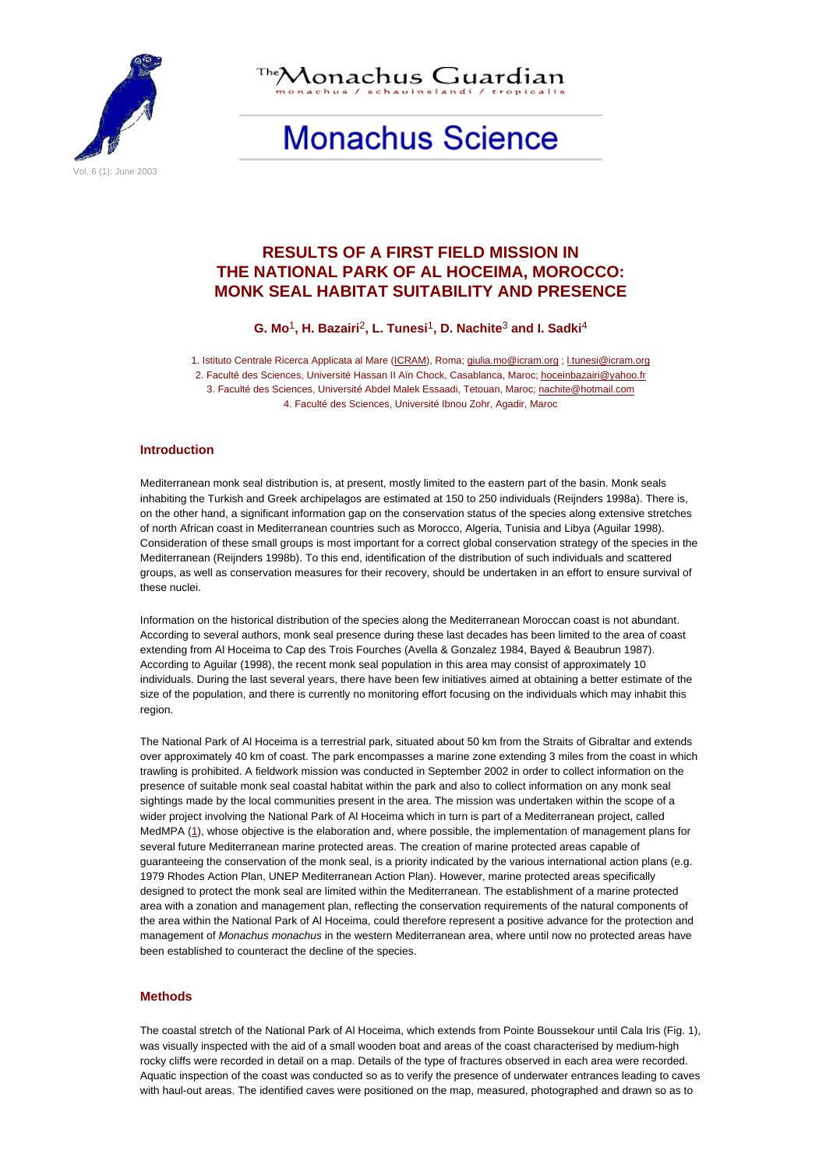

Aonachus Guardian

# **Monachus Science**

# **RESULTS OF A FIRST FIELD MISSION IN THE NATIONAL PARK OF AL HOCEIMA, MOROCCO: MONK SEAL HABITAT SUITABILITY AND PRESENCE**

**G. Mo**1**, H. Bazairi**2**, L. Tunesi**1**, D. Nachite**3 **and I. Sadki**4

1. Istituto Centrale Ricerca Applicata al Mare (ICRAM), Roma; giulia.mo@icram.org ; l.tunesi@icram.org 2. Faculté des Sciences, Université Hassan II Aïn Chock, Casablanca, Maroc; hoceinbazairi@yahoo.fr 3. Faculté des Sciences, Université Abdel Malek Essaadi, Tetouan, Maroc; nachite@hotmail.com 4. Faculté des Sciences, Université Ibnou Zohr, Agadir, Maroc

# **Introduction**

Mediterranean monk seal distribution is, at present, mostly limited to the eastern part of the basin. Monk seals inhabiting the Turkish and Greek archipelagos are estimated at 150 to 250 individuals (Reijnders 1998a). There is, on the other hand, a significant information gap on the conservation status of the species along extensive stretches of north African coast in Mediterranean countries such as Morocco, Algeria, Tunisia and Libya (Aguilar 1998). Consideration of these small groups is most important for a correct global conservation strategy of the species in the Mediterranean (Reijnders 1998b). To this end, identification of the distribution of such individuals and scattered groups, as well as conservation measures for their recovery, should be undertaken in an effort to ensure survival of these nuclei.

Information on the historical distribution of the species along the Mediterranean Moroccan coast is not abundant. According to several authors, monk seal presence during these last decades has been limited to the area of coast extending from Al Hoceima to Cap des Trois Fourches (Avella & Gonzalez 1984, Bayed & Beaubrun 1987). According to Aguilar (1998), the recent monk seal population in this area may consist of approximately 10 individuals. During the last several years, there have been few initiatives aimed at obtaining a better estimate of the size of the population, and there is currently no monitoring effort focusing on the individuals which may inhabit this region.

The National Park of Al Hoceima is a terrestrial park, situated about 50 km from the Straits of Gibraltar and extends over approximately 40 km of coast. The park encompasses a marine zone extending 3 miles from the coast in which trawling is prohibited. A fieldwork mission was conducted in September 2002 in order to collect information on the presence of suitable monk seal coastal habitat within the park and also to collect information on any monk seal sightings made by the local communities present in the area. The mission was undertaken within the scope of a wider project involving the National Park of Al Hoceima which in turn is part of a Mediterranean project, called MedMPA (1), whose objective is the elaboration and, where possible, the implementation of management plans for several future Mediterranean marine protected areas. The creation of marine protected areas capable of guaranteeing the conservation of the monk seal, is a priority indicated by the various international action plans (e.g. 1979 Rhodes Action Plan, UNEP Mediterranean Action Plan). However, marine protected areas specifically designed to protect the monk seal are limited within the Mediterranean. The establishment of a marine protected area with a zonation and management plan, reflecting the conservation requirements of the natural components of the area within the National Park of Al Hoceima, could therefore represent a positive advance for the protection and management of Monachus monachus in the western Mediterranean area, where until now no protected areas have been established to counteract the decline of the species.

#### **Methods**

The coastal stretch of the National Park of Al Hoceima, which extends from Pointe Boussekour until Cala Iris (Fig. 1), was visually inspected with the aid of a small wooden boat and areas of the coast characterised by medium-high rocky cliffs were recorded in detail on a map. Details of the type of fractures observed in each area were recorded. Aquatic inspection of the coast was conducted so as to verify the presence of underwater entrances leading to caves with haul-out areas. The identified caves were positioned on the map, measured, photographed and drawn so as to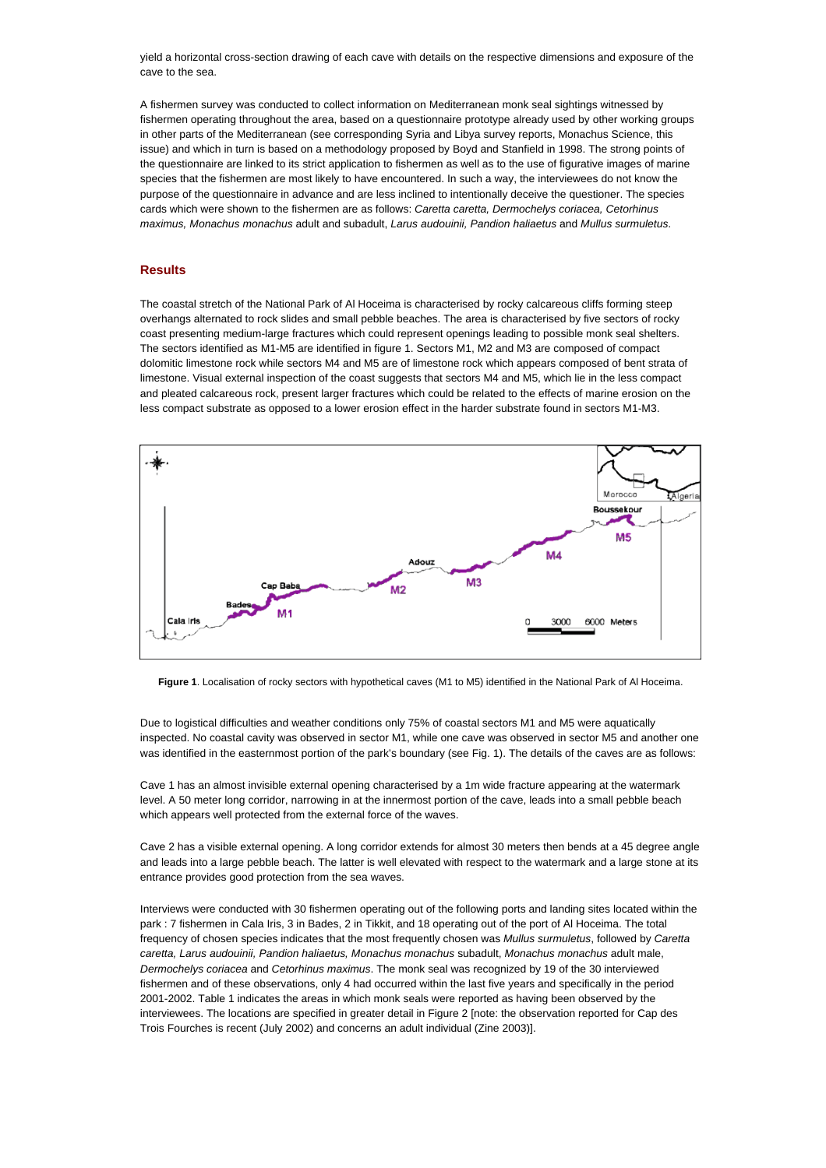yield a horizontal cross-section drawing of each cave with details on the respective dimensions and exposure of the cave to the sea.

A fishermen survey was conducted to collect information on Mediterranean monk seal sightings witnessed by fishermen operating throughout the area, based on a questionnaire prototype already used by other working groups in other parts of the Mediterranean (see corresponding Syria and Libya survey reports, Monachus Science, this issue) and which in turn is based on a methodology proposed by Boyd and Stanfield in 1998. The strong points of the questionnaire are linked to its strict application to fishermen as well as to the use of figurative images of marine species that the fishermen are most likely to have encountered. In such a way, the interviewees do not know the purpose of the questionnaire in advance and are less inclined to intentionally deceive the questioner. The species cards which were shown to the fishermen are as follows: Caretta caretta, Dermochelys coriacea, Cetorhinus maximus, Monachus monachus adult and subadult, Larus audouinii, Pandion haliaetus and Mullus surmuletus.

# **Results**

The coastal stretch of the National Park of Al Hoceima is characterised by rocky calcareous cliffs forming steep overhangs alternated to rock slides and small pebble beaches. The area is characterised by five sectors of rocky coast presenting medium-large fractures which could represent openings leading to possible monk seal shelters. The sectors identified as M1-M5 are identified in figure 1. Sectors M1, M2 and M3 are composed of compact dolomitic limestone rock while sectors M4 and M5 are of limestone rock which appears composed of bent strata of limestone. Visual external inspection of the coast suggests that sectors M4 and M5, which lie in the less compact and pleated calcareous rock, present larger fractures which could be related to the effects of marine erosion on the less compact substrate as opposed to a lower erosion effect in the harder substrate found in sectors M1-M3.



**Figure 1**. Localisation of rocky sectors with hypothetical caves (M1 to M5) identified in the National Park of Al Hoceima.

Due to logistical difficulties and weather conditions only 75% of coastal sectors M1 and M5 were aquatically inspected. No coastal cavity was observed in sector M1, while one cave was observed in sector M5 and another one was identified in the easternmost portion of the park's boundary (see Fig. 1). The details of the caves are as follows:

Cave 1 has an almost invisible external opening characterised by a 1m wide fracture appearing at the watermark level. A 50 meter long corridor, narrowing in at the innermost portion of the cave, leads into a small pebble beach which appears well protected from the external force of the waves.

Cave 2 has a visible external opening. A long corridor extends for almost 30 meters then bends at a 45 degree angle and leads into a large pebble beach. The latter is well elevated with respect to the watermark and a large stone at its entrance provides good protection from the sea waves.

Interviews were conducted with 30 fishermen operating out of the following ports and landing sites located within the park : 7 fishermen in Cala Iris, 3 in Bades, 2 in Tikkit, and 18 operating out of the port of Al Hoceima. The total frequency of chosen species indicates that the most frequently chosen was Mullus surmuletus, followed by Caretta caretta, Larus audouinii, Pandion haliaetus, Monachus monachus subadult, Monachus monachus adult male, Dermochelys coriacea and Cetorhinus maximus. The monk seal was recognized by 19 of the 30 interviewed fishermen and of these observations, only 4 had occurred within the last five years and specifically in the period 2001-2002. Table 1 indicates the areas in which monk seals were reported as having been observed by the interviewees. The locations are specified in greater detail in Figure 2 [note: the observation reported for Cap des Trois Fourches is recent (July 2002) and concerns an adult individual (Zine 2003)].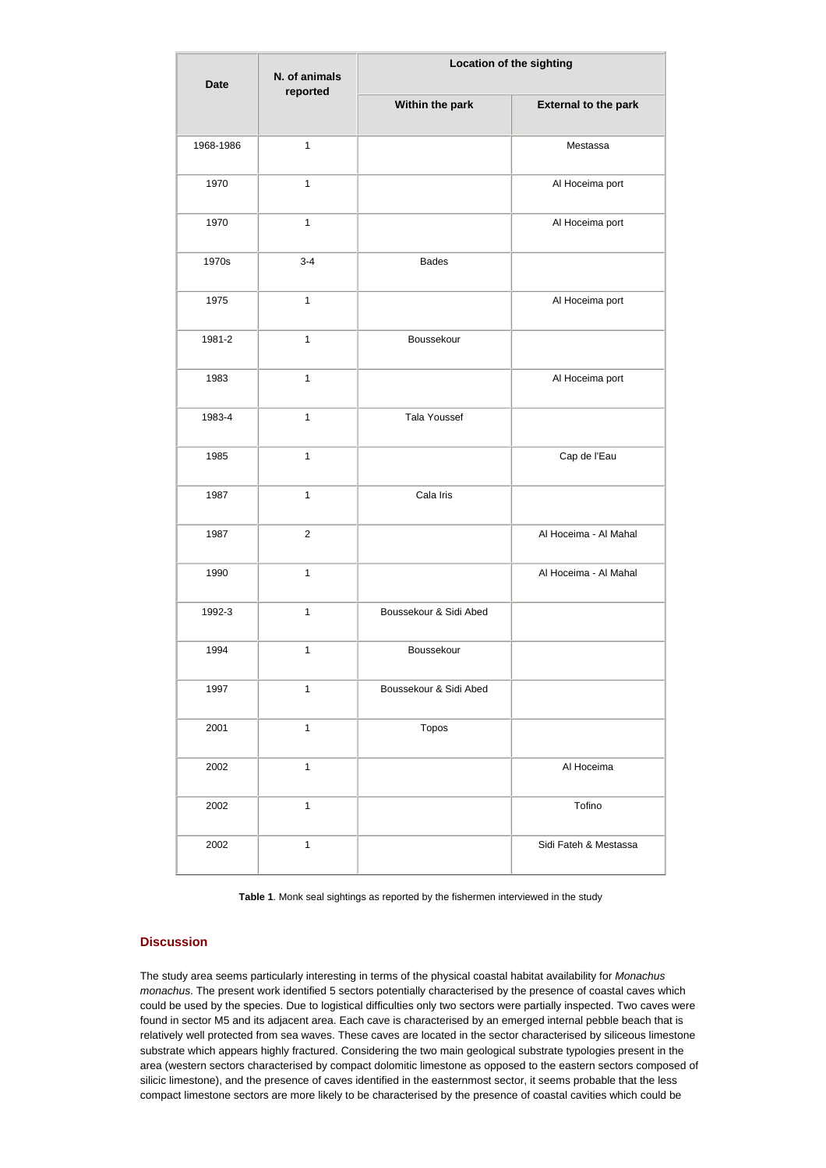| <b>Date</b> | N. of animals<br>reported | Location of the sighting |                             |
|-------------|---------------------------|--------------------------|-----------------------------|
|             |                           | Within the park          | <b>External to the park</b> |
| 1968-1986   | $\mathbf{1}$              |                          | Mestassa                    |
| 1970        | $\mathbf{1}$              |                          | Al Hoceima port             |
| 1970        | $\mathbf{1}$              |                          | Al Hoceima port             |
| 1970s       | $3 - 4$                   | <b>Bades</b>             |                             |
| 1975        | $\mathbf{1}$              |                          | Al Hoceima port             |
| 1981-2      | $\mathbf{1}$              | Boussekour               |                             |
| 1983        | $\mathbf{1}$              |                          | Al Hoceima port             |
| 1983-4      | $\mathbf{1}$              | Tala Youssef             |                             |
| 1985        | $\mathbf{1}$              |                          | Cap de l'Eau                |
| 1987        | $\mathbf{1}$              | Cala Iris                |                             |
| 1987        | 2                         |                          | Al Hoceima - Al Mahal       |
| 1990        | $\mathbf{1}$              |                          | Al Hoceima - Al Mahal       |
| 1992-3      | $\mathbf{1}$              | Boussekour & Sidi Abed   |                             |
| 1994        | $\mathbf{1}$              | Boussekour               |                             |
| 1997        | $\mathbf{1}$              | Boussekour & Sidi Abed   |                             |
| 2001        | $\mathbf{1}$              | Topos                    |                             |
| 2002        | $\mathbf{1}$              |                          | Al Hoceima                  |
| 2002        | $\mathbf{1}$              |                          | Tofino                      |
| 2002        | $\mathbf{1}$              |                          | Sidi Fateh & Mestassa       |

**Table 1**. Monk seal sightings as reported by the fishermen interviewed in the study

# **Discussion**

The study area seems particularly interesting in terms of the physical coastal habitat availability for Monachus monachus. The present work identified 5 sectors potentially characterised by the presence of coastal caves which could be used by the species. Due to logistical difficulties only two sectors were partially inspected. Two caves were found in sector M5 and its adjacent area. Each cave is characterised by an emerged internal pebble beach that is relatively well protected from sea waves. These caves are located in the sector characterised by siliceous limestone substrate which appears highly fractured. Considering the two main geological substrate typologies present in the area (western sectors characterised by compact dolomitic limestone as opposed to the eastern sectors composed of silicic limestone), and the presence of caves identified in the easternmost sector, it seems probable that the less compact limestone sectors are more likely to be characterised by the presence of coastal cavities which could be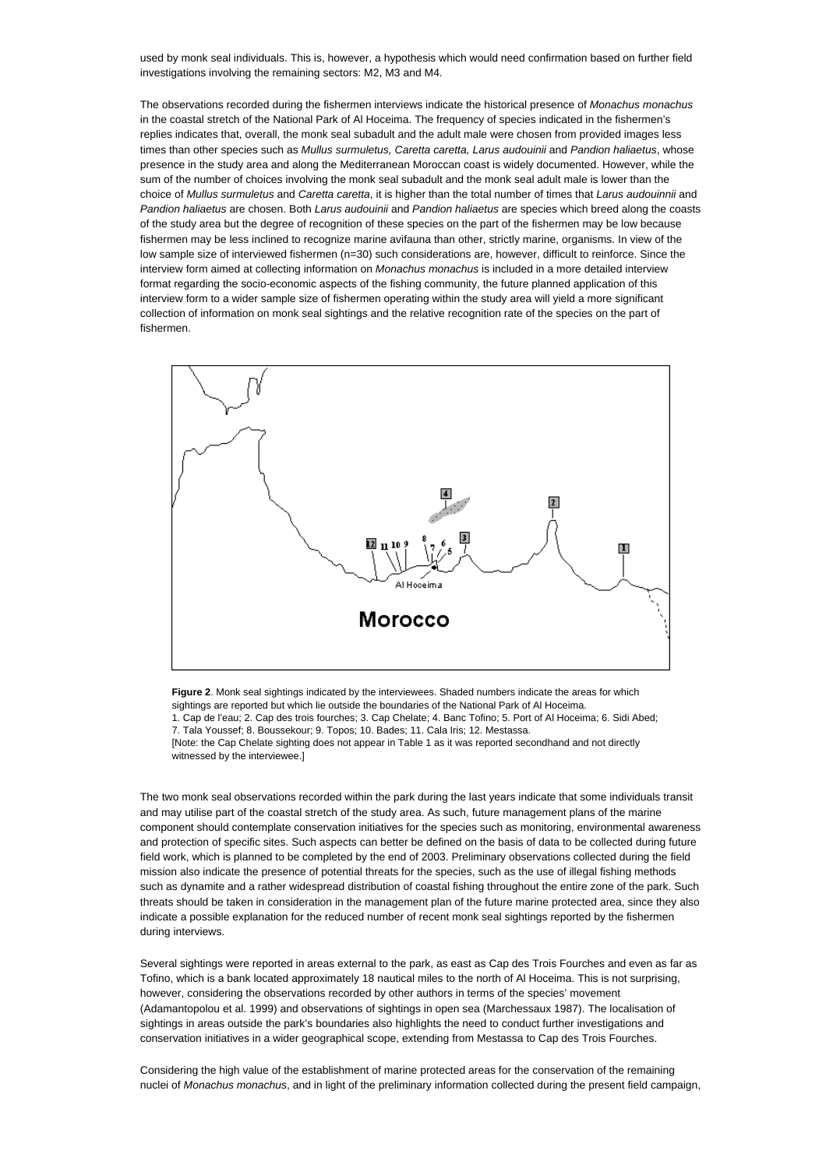used by monk seal individuals. This is, however, a hypothesis which would need confirmation based on further field investigations involving the remaining sectors: M2, M3 and M4.

The observations recorded during the fishermen interviews indicate the historical presence of Monachus monachus in the coastal stretch of the National Park of Al Hoceima. The frequency of species indicated in the fishermen's replies indicates that, overall, the monk seal subadult and the adult male were chosen from provided images less times than other species such as Mullus surmuletus, Caretta caretta, Larus audouinii and Pandion haliaetus, whose presence in the study area and along the Mediterranean Moroccan coast is widely documented. However, while the sum of the number of choices involving the monk seal subadult and the monk seal adult male is lower than the choice of Mullus surmuletus and Caretta caretta, it is higher than the total number of times that Larus audouinnii and Pandion haliaetus are chosen. Both Larus audouinii and Pandion haliaetus are species which breed along the coasts of the study area but the degree of recognition of these species on the part of the fishermen may be low because fishermen may be less inclined to recognize marine avifauna than other, strictly marine, organisms. In view of the low sample size of interviewed fishermen (n=30) such considerations are, however, difficult to reinforce. Since the interview form aimed at collecting information on Monachus monachus is included in a more detailed interview format regarding the socio-economic aspects of the fishing community, the future planned application of this interview form to a wider sample size of fishermen operating within the study area will yield a more significant collection of information on monk seal sightings and the relative recognition rate of the species on the part of fishermen.



**Figure 2**. Monk seal sightings indicated by the interviewees. Shaded numbers indicate the areas for which sightings are reported but which lie outside the boundaries of the National Park of Al Hoceima.

1. Cap de l'eau; 2. Cap des trois fourches; 3. Cap Chelate; 4. Banc Tofino; 5. Port of Al Hoceima; 6. Sidi Abed; 7. Tala Youssef; 8. Boussekour; 9. Topos; 10. Bades; 11. Cala Iris; 12. Mestassa.

[Note: the Cap Chelate sighting does not appear in Table 1 as it was reported secondhand and not directly witnessed by the interviewee.]

The two monk seal observations recorded within the park during the last years indicate that some individuals transit and may utilise part of the coastal stretch of the study area. As such, future management plans of the marine component should contemplate conservation initiatives for the species such as monitoring, environmental awareness and protection of specific sites. Such aspects can better be defined on the basis of data to be collected during future field work, which is planned to be completed by the end of 2003. Preliminary observations collected during the field mission also indicate the presence of potential threats for the species, such as the use of illegal fishing methods such as dynamite and a rather widespread distribution of coastal fishing throughout the entire zone of the park. Such threats should be taken in consideration in the management plan of the future marine protected area, since they also indicate a possible explanation for the reduced number of recent monk seal sightings reported by the fishermen during interviews.

Several sightings were reported in areas external to the park, as east as Cap des Trois Fourches and even as far as Tofino, which is a bank located approximately 18 nautical miles to the north of Al Hoceima. This is not surprising, however, considering the observations recorded by other authors in terms of the species' movement (Adamantopolou et al. 1999) and observations of sightings in open sea (Marchessaux 1987). The localisation of sightings in areas outside the park's boundaries also highlights the need to conduct further investigations and conservation initiatives in a wider geographical scope, extending from Mestassa to Cap des Trois Fourches.

Considering the high value of the establishment of marine protected areas for the conservation of the remaining nuclei of Monachus monachus, and in light of the preliminary information collected during the present field campaign,